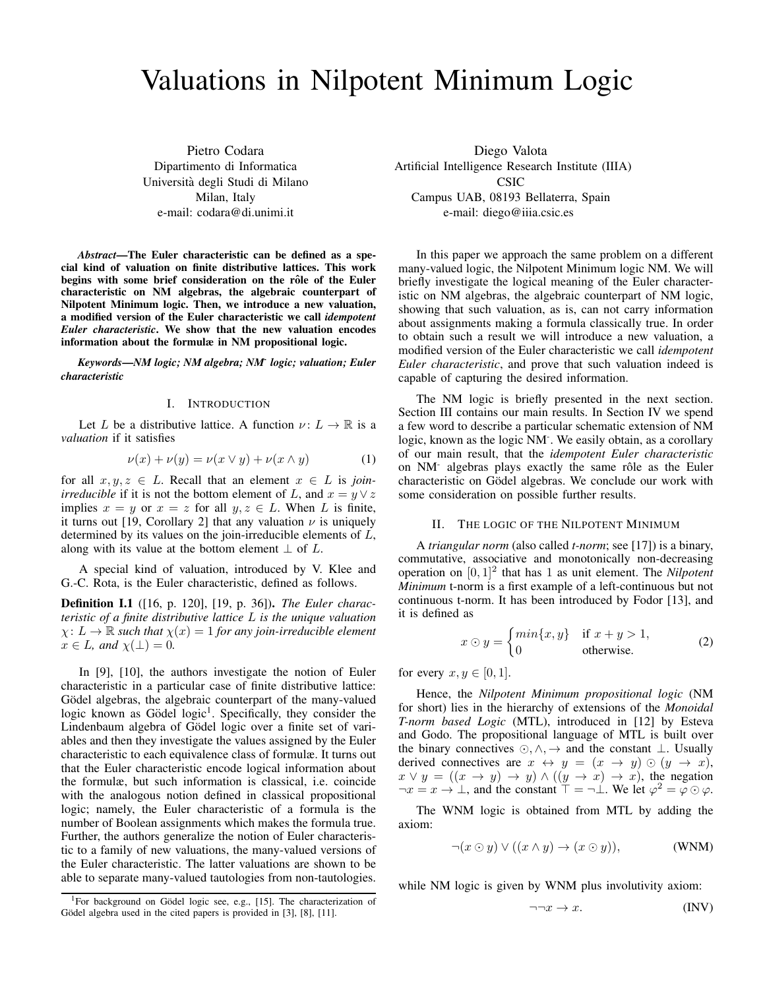# Valuations in Nilpotent Minimum Logic

Pietro Codara Dipartimento di Informatica Universita degli Studi di Milano ` Milan, Italy e-mail: codara@di.unimi.it

*Abstract*—The Euler characteristic can be defined as a special kind of valuation on finite distributive lattices. This work begins with some brief consideration on the rôle of the Euler characteristic on NM algebras, the algebraic counterpart of Nilpotent Minimum logic. Then, we introduce a new valuation, a modified version of the Euler characteristic we call *idempotent Euler characteristic*. We show that the new valuation encodes information about the formulæ in NM propositional logic.

*Keywords*—*NM logic; NM algebra; NM-logic; valuation; Euler characteristic*

# I. INTRODUCTION

Let L be a distributive lattice. A function  $\nu: L \to \mathbb{R}$  is a *valuation* if it satisfies

$$
\nu(x) + \nu(y) = \nu(x \lor y) + \nu(x \land y) \tag{1}
$$

for all  $x, y, z \in L$ . Recall that an element  $x \in L$  is *joinirreducible* if it is not the bottom element of L, and  $x = y \vee z$ implies  $x = y$  or  $x = z$  for all  $y, z \in L$ . When L is finite, it turns out [19, Corollary 2] that any valuation  $\nu$  is uniquely determined by its values on the join-irreducible elements of L, along with its value at the bottom element  $\perp$  of L.

A special kind of valuation, introduced by V. Klee and G.-C. Rota, is the Euler characteristic, defined as follows.

Definition I.1 ([16, p. 120], [19, p. 36]). *The Euler characteristic of a finite distributive lattice* L *is the unique valuation*  $\chi: L \to \mathbb{R}$  *such that*  $\chi(x) = 1$  *for any join-irreducible element*  $x \in L$ *, and*  $\chi(\perp) = 0$ *.* 

In [9], [10], the authors investigate the notion of Euler characteristic in a particular case of finite distributive lattice: Gödel algebras, the algebraic counterpart of the many-valued logic known as Gödel logic<sup>1</sup>. Specifically, they consider the Lindenbaum algebra of Gödel logic over a finite set of variables and then they investigate the values assigned by the Euler characteristic to each equivalence class of formulæ. It turns out that the Euler characteristic encode logical information about the formulæ, but such information is classical, i.e. coincide with the analogous notion defined in classical propositional logic; namely, the Euler characteristic of a formula is the number of Boolean assignments which makes the formula true. Further, the authors generalize the notion of Euler characteristic to a family of new valuations, the many-valued versions of the Euler characteristic. The latter valuations are shown to be able to separate many-valued tautologies from non-tautologies.

Diego Valota Artificial Intelligence Research Institute (IIIA) CSIC Campus UAB, 08193 Bellaterra, Spain e-mail: diego@iiia.csic.es

In this paper we approach the same problem on a different many-valued logic, the Nilpotent Minimum logic NM. We will briefly investigate the logical meaning of the Euler characteristic on NM algebras, the algebraic counterpart of NM logic, showing that such valuation, as is, can not carry information about assignments making a formula classically true. In order to obtain such a result we will introduce a new valuation, a modified version of the Euler characteristic we call *idempotent Euler characteristic*, and prove that such valuation indeed is capable of capturing the desired information.

The NM logic is briefly presented in the next section. Section III contains our main results. In Section IV we spend a few word to describe a particular schematic extension of NM logic, known as the logic NM- . We easily obtain, as a corollary of our main result, that the *idempotent Euler characteristic* on NM<sup>-</sup> algebras plays exactly the same rôle as the Euler characteristic on Gödel algebras. We conclude our work with some consideration on possible further results.

# II. THE LOGIC OF THE NILPOTENT MINIMUM

A *triangular norm* (also called *t-norm*; see [17]) is a binary, commutative, associative and monotonically non-decreasing operation on  $[0, 1]^2$  that has 1 as unit element. The *Nilpotent Minimum* t-norm is a first example of a left-continuous but not continuous t-norm. It has been introduced by Fodor [13], and it is defined as

$$
x \odot y = \begin{cases} min\{x, y\} & \text{if } x + y > 1, \\ 0 & \text{otherwise.} \end{cases}
$$
 (2)

for every  $x, y \in [0, 1]$ .

Hence, the *Nilpotent Minimum propositional logic* (NM for short) lies in the hierarchy of extensions of the *Monoidal T-norm based Logic* (MTL), introduced in [12] by Esteva and Godo. The propositional language of MTL is built over the binary connectives  $\odot, \land, \rightarrow$  and the constant  $\perp$ . Usually derived connectives are  $x \leftrightarrow y = (x \rightarrow y) \odot (y \rightarrow x)$ ,  $x \vee y = ((x \rightarrow y) \rightarrow y) \wedge ((y \rightarrow x) \rightarrow x)$ , the negation  $\neg x = x \rightarrow \bot$ , and the constant  $\top = \neg \bot$ . We let  $\varphi^2 = \varphi \odot \varphi$ .

The WNM logic is obtained from MTL by adding the axiom:

$$
\neg(x \odot y) \vee ((x \wedge y) \rightarrow (x \odot y)), \qquad \text{(WNM)}
$$

while NM logic is given by WNM plus involutivity axiom:

$$
\neg \neg x \to x. \tag{INV}
$$

<sup>&</sup>lt;sup>1</sup>For background on Gödel logic see, e.g., [15]. The characterization of Gödel algebra used in the cited papers is provided in [3], [8], [11].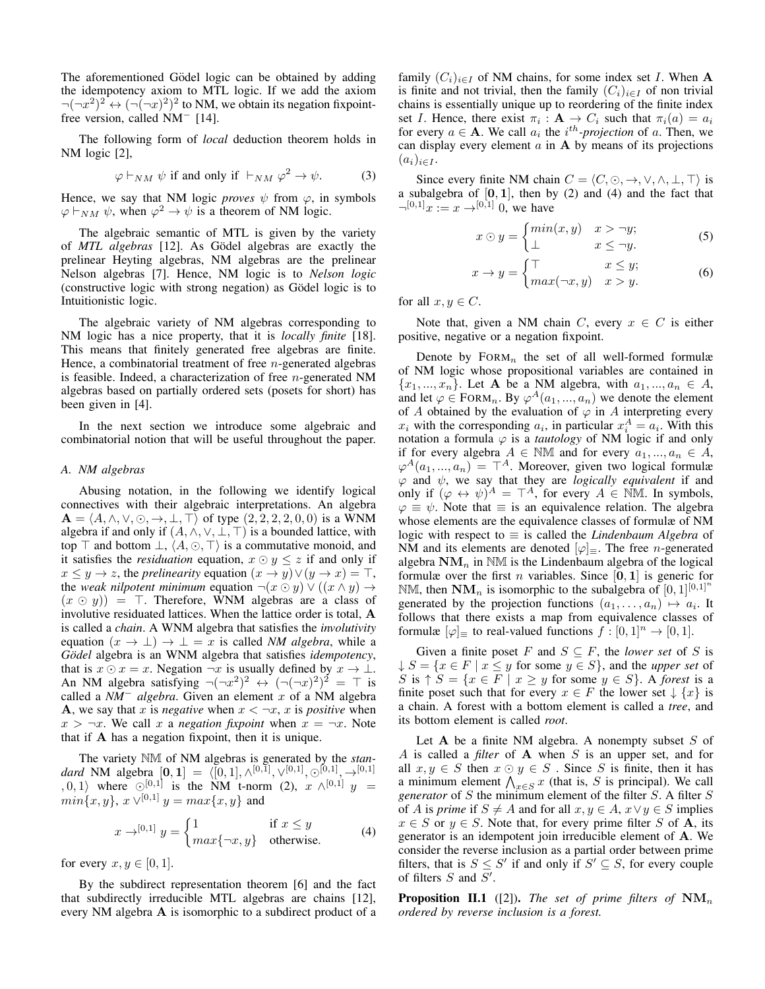The aforementioned Gödel logic can be obtained by adding the idempotency axiom to MTL logic. If we add the axiom  $\neg(\neg x^2)^2 \leftrightarrow (\neg(\neg x)^2)^2$  to NM, we obtain its negation fixpointfree version, called NM<sup>−</sup> [14].

The following form of *local* deduction theorem holds in NM logic [2],

$$
\varphi \vdash_{NM} \psi \text{ if and only if } \vdash_{NM} \varphi^2 \to \psi. \tag{3}
$$

Hence, we say that NM logic *proves*  $\psi$  from  $\varphi$ , in symbols  $\varphi \vdash_{NM} \psi$ , when  $\varphi^2 \to \psi$  is a theorem of NM logic.

The algebraic semantic of MTL is given by the variety of *MTL algebras* [12]. As Gödel algebras are exactly the prelinear Heyting algebras, NM algebras are the prelinear Nelson algebras [7]. Hence, NM logic is to *Nelson logic* (constructive logic with strong negation) as Gödel logic is to Intuitionistic logic.

The algebraic variety of NM algebras corresponding to NM logic has a nice property, that it is *locally finite* [18]. This means that finitely generated free algebras are finite. Hence, a combinatorial treatment of free  $n$ -generated algebras is feasible. Indeed, a characterization of free  $n$ -generated NM algebras based on partially ordered sets (posets for short) has been given in [4].

In the next section we introduce some algebraic and combinatorial notion that will be useful throughout the paper.

## *A. NM algebras*

Abusing notation, in the following we identify logical connectives with their algebraic interpretations. An algebra  $\mathbf{A} = \langle A, \wedge, \vee, \odot, \to, \perp, \top \rangle$  of type  $(2, 2, 2, 2, 0, 0)$  is a WNM algebra if and only if  $(A, \wedge, \vee, \bot, \top)$  is a bounded lattice, with top  $\top$  and bottom  $\bot$ ,  $\langle A, \odot, \top \rangle$  is a commutative monoid, and it satisfies the *residuation* equation,  $x \odot y \leq z$  if and only if  $x \leq y \to z$ , the *prelinearity* equation  $(x \to y) \lor (y \to x) = \top$ , the *weak nilpotent minimum* equation  $\neg(x \odot y) \vee ((x \wedge y) \rightarrow$  $(x \odot y)$  = T. Therefore, WNM algebras are a class of involutive residuated lattices. When the lattice order is total, A is called a *chain*. A WNM algebra that satisfies the *involutivity* equation  $(x \to \bot) \to \bot = x$  is called *NM algebra*, while a *Gödel* algebra is an WNM algebra that satisfies *idempotency*, that is  $x \odot x = x$ . Negation  $\neg x$  is usually defined by  $x \rightarrow \bot$ . An NM algebra satisfying  $\neg(\neg x^2)^2 \leftrightarrow (\neg(\neg x)^2)^2 = \top$  is called a *NM*<sup>−</sup> *algebra*. Given an element x of a NM algebra A, we say that x is *negative* when  $x < \neg x$ , x is *positive* when  $x > \neg x$ . We call x a *negation fixpoint* when  $x = \neg x$ . Note that if A has a negation fixpoint, then it is unique.

The variety NM of NM algebras is generated by the *stan*dard NM algebra  $[0, 1] = \langle [0, 1], \wedge^{[0,1]}, \vee^{[0,1]}, \odot^{[0,1]}, \rightarrow^{[0,1]} \rangle$  $(0, 1)$  where  $\odot^{[0,1]}$  is the NM t-norm (2),  $x \wedge^{[0,1]} y =$  $min\{x, y\}, x \vee^{[0,1]} y = max\{x, y\}$  and

$$
x \to^{[0,1]} y = \begin{cases} 1 & \text{if } x \le y \\ max\{\neg x, y\} & \text{otherwise.} \end{cases}
$$
 (4)

for every  $x, y \in [0, 1]$ .

By the subdirect representation theorem [6] and the fact that subdirectly irreducible MTL algebras are chains [12], every NM algebra A is isomorphic to a subdirect product of a family  $(C_i)_{i\in I}$  of NM chains, for some index set I. When A is finite and not trivial, then the family  $(C_i)_{i\in I}$  of non trivial chains is essentially unique up to reordering of the finite index set *I*. Hence, there exist  $\pi_i : \mathbf{A} \to C_i$  such that  $\pi_i(a) = a_i$ for every  $a \in \mathbf{A}$ . We call  $a_i$  the  $i^{th}$ -projection of a. Then, we can display every element  $\alpha$  in  $A$  by means of its projections  $(a_i)_{i\in I}$ .

Since every finite NM chain  $C = \langle C, \odot, \rightarrow, \vee, \wedge, \bot, \top \rangle$  is a subalgebra of  $[0, 1]$ , then by  $(2)$  and  $(4)$  and the fact that  $\neg^{[0,1]}x := x \rightarrow^{[0,1]} 0$ , we have

$$
x \odot y = \begin{cases} \min(x, y) & x > \neg y; \\ \bot & x \le \neg y. \end{cases} \tag{5}
$$

$$
x \to y = \begin{cases} \top & x \le y; \\ max(\neg x, y) & x > y. \end{cases}
$$
 (6)

for all  $x, y \in C$ .

Note that, given a NM chain C, every  $x \in C$  is either positive, negative or a negation fixpoint.

Denote by  $FORM_n$  the set of all well-formed formulæ of NM logic whose propositional variables are contained in  ${x_1, ..., x_n}$ . Let A be a NM algebra, with  $a_1, ..., a_n \in A$ , and let  $\varphi \in \text{FORM}_n$ . By  $\varphi^A(a_1, ..., a_n)$  we denote the element of A obtained by the evaluation of  $\varphi$  in A interpreting every  $x_i$  with the corresponding  $a_i$ , in particular  $x_i^A = a_i$ . With this notation a formula  $\varphi$  is a *tautology* of NM logic if and only if for every algebra  $A \in \mathbb{N} \mathbb{M}$  and for every  $a_1, ..., a_n \in A$ ,  $\varphi^{A}(a_1, ..., a_n) = \top^{A}$ . Moreover, given two logical formulæ  $\varphi$  and  $\psi$ , we say that they are *logically equivalent* if and only if  $(\varphi \leftrightarrow \psi)^A = \top^A$ , for every  $A \in \mathbb{N}$ M. In symbols,  $\varphi \equiv \psi$ . Note that  $\equiv$  is an equivalence relation. The algebra whose elements are the equivalence classes of formulæ of NM logic with respect to ≡ is called the *Lindenbaum Algebra* of NM and its elements are denoted  $[\varphi]_{\equiv}$ . The free *n*-generated algebra  $NM_n$  in  $NM$  is the Lindenbaum algebra of the logical formulæ over the first *n* variables. Since [0, 1] is generic for NM, then  $NM_n$  is isomorphic to the subalgebra of  $[0, 1]^{[0, 1]^n}$ generated by the projection functions  $(a_1, \ldots, a_n) \mapsto a_i$ . It follows that there exists a map from equivalence classes of formulæ  $[\varphi]$  to real-valued functions  $f : [0,1]^n \to [0,1]$ .

Given a finite poset F and  $S \subseteq F$ , the *lower set* of S is  $\downarrow$   $S = \{x \in F \mid x \leq y \text{ for some } y \in S\}$ , and the *upper set* of S is  $\uparrow S = \{x \in F \mid x \geq y \text{ for some } y \in S\}$ . A *forest* is a finite poset such that for every  $x \in F$  the lower set  $\downarrow \{x\}$  is a chain. A forest with a bottom element is called a *tree*, and its bottom element is called *root*.

Let  $A$  be a finite NM algebra. A nonempty subset  $S$  of A is called a *filter* of A when S is an upper set, and for all  $x, y \in S$  then  $x \odot y \in S$ . Since S is finite, then it has a minimum element  $\bigwedge_{x \in S} x$  (that is, S is principal). We call *generator* of S the minimum element of the filter S. A filter S of A is *prime* if  $S \neq A$  and for all  $x, y \in A$ ,  $x \vee y \in S$  implies  $x \in S$  or  $y \in S$ . Note that, for every prime filter S of **A**, its generator is an idempotent join irreducible element of A. We consider the reverse inclusion as a partial order between prime filters, that is  $S \leq S'$  if and only if  $S' \subseteq S$ , for every couple of filters  $S$  and  $S'$ .

**Proposition II.1** ([2]). *The set of prime filters of*  $NM_n$ *ordered by reverse inclusion is a forest.*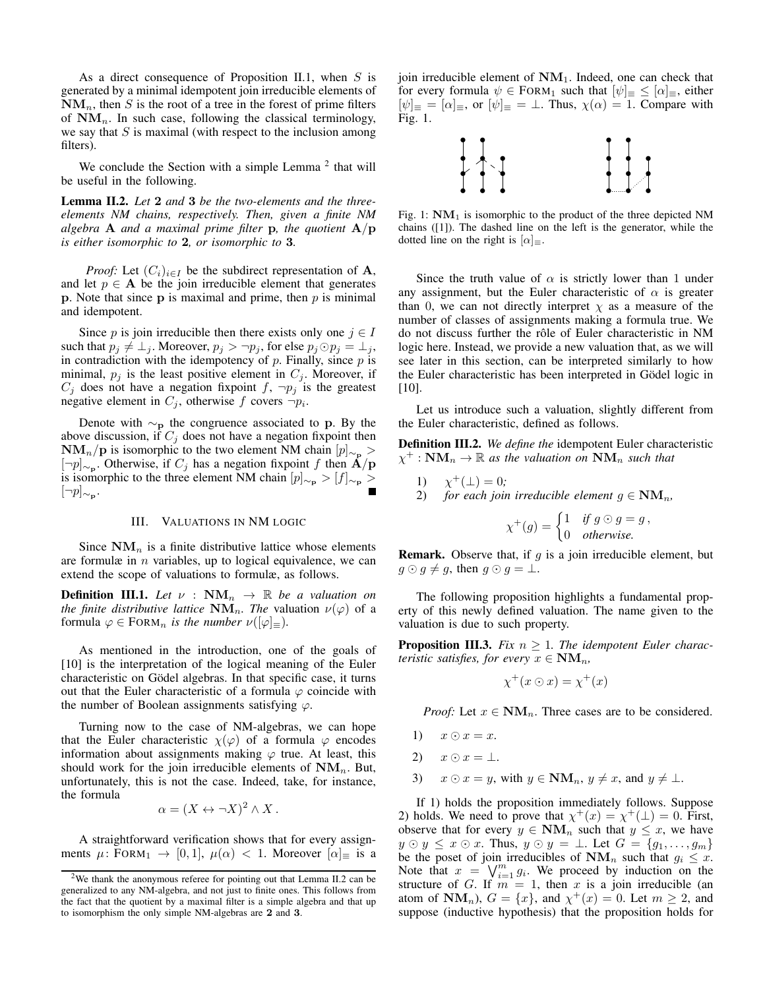As a direct consequence of Proposition II.1, when  $S$  is generated by a minimal idempotent join irreducible elements of  $NM_n$ , then S is the root of a tree in the forest of prime filters of  $NM_n$ . In such case, following the classical terminology, we say that  $S$  is maximal (with respect to the inclusion among filters).

We conclude the Section with a simple Lemma  $2$  that will be useful in the following.

Lemma II.2. *Let* 2 *and* 3 *be the two-elements and the threeelements NM chains, respectively. Then, given a finite NM algebra* **A** *and a maximal prime filter* **p***, the quotient*  $A/p$ *is either isomorphic to* 2*, or isomorphic to* 3*.*

*Proof:* Let  $(C_i)_{i \in I}$  be the subdirect representation of A, and let  $p \in A$  be the join irreducible element that generates p. Note that since  $p$  is maximal and prime, then  $p$  is minimal and idempotent.

Since p is join irreducible then there exists only one  $j \in I$ such that  $p_i \neq \perp_i$ . Moreover,  $p_i > \neg p_i$ , for else  $p_i \odot p_i = \perp_i$ , in contradiction with the idempotency of  $p$ . Finally, since  $p$  is minimal,  $p_j$  is the least positive element in  $C_j$ . Moreover, if  $C_j$  does not have a negation fixpoint  $f$ ,  $\neg p_j$  is the greatest negative element in  $C_j$ , otherwise f covers  $\neg p_i$ .

Denote with  $\sim_{\text{p}}$  the congruence associated to p. By the above discussion, if  $C_j$  does not have a negation fixpoint then  $NM_n/p$  is isomorphic to the two element NM chain  $[p]_{\sim_p} >$ [¬p]<sub>∼p</sub>. Otherwise, if  $C_j$  has a negation fixpoint f then  $\dot{A}/p$ is isomorphic to the three element NM chain  $[p]_{\sim_p} > [f]_{\sim_p} >$  $[\neg p]_{\sim_{\mathbf{P}}}$ .

# III. VALUATIONS IN NM LOGIC

Since  $\mathbf{NM}_n$  is a finite distributive lattice whose elements are formulæ in  $n$  variables, up to logical equivalence, we can extend the scope of valuations to formulæ, as follows.

**Definition III.1.** Let  $\nu$  :  $NM_n \to \mathbb{R}$  be a valuation on *the finite distributive lattice*  $\mathbf{NM}_n$ *. The valuation*  $\nu(\varphi)$  of a formula  $\varphi \in \text{FORM}_n$  *is the number*  $\nu([\varphi]_{\equiv})$ *.* 

As mentioned in the introduction, one of the goals of [10] is the interpretation of the logical meaning of the Euler characteristic on Gödel algebras. In that specific case, it turns out that the Euler characteristic of a formula  $\varphi$  coincide with the number of Boolean assignments satisfying  $\varphi$ .

Turning now to the case of NM-algebras, we can hope that the Euler characteristic  $\chi(\varphi)$  of a formula  $\varphi$  encodes information about assignments making  $\varphi$  true. At least, this should work for the join irreducible elements of  $\mathbf{NM}_n$ . But, unfortunately, this is not the case. Indeed, take, for instance, the formula

$$
\alpha = (X \leftrightarrow \neg X)^2 \wedge X.
$$

A straightforward verification shows that for every assignments  $\mu$ : FORM<sub>1</sub>  $\rightarrow$  [0, 1],  $\mu(\alpha)$  < 1. Moreover  $\alpha|_{\equiv}$  is a join irreducible element of  $NM_1$ . Indeed, one can check that for every formula  $\psi \in \text{FORM}_1$  such that  $[\psi]_{\equiv} \leq [\alpha]_{\equiv}$ , either  $[\psi]_{\equiv} = [\alpha]_{\equiv}$ , or  $[\psi]_{\equiv} = \perp$ . Thus,  $\chi(\alpha) = 1$ . Compare with Fig. 1.



Fig. 1:  $NM_1$  is isomorphic to the product of the three depicted NM chains ([1]). The dashed line on the left is the generator, while the dotted line on the right is  $\alpha$ <sub>≡</sub>.

Since the truth value of  $\alpha$  is strictly lower than 1 under any assignment, but the Euler characteristic of  $\alpha$  is greater than 0, we can not directly interpret  $\chi$  as a measure of the number of classes of assignments making a formula true. We do not discuss further the rôle of Euler characteristic in NM logic here. Instead, we provide a new valuation that, as we will see later in this section, can be interpreted similarly to how the Euler characteristic has been interpreted in Gödel logic in [10].

Let us introduce such a valuation, slightly different from the Euler characteristic, defined as follows.

Definition III.2. *We define the* idempotent Euler characteristic  $\chi^+$ :  $NM_n \to \mathbb{R}$  as the valuation on  $NM_n$  such that

1)  $\chi^+(\perp) = 0;$ 2) *for each join irreducible element*  $g \in \mathbf{NM}_n$ ,

$$
\chi^+(g) = \begin{cases} 1 & \text{if } g \odot g = g, \\ 0 & \text{otherwise.} \end{cases}
$$

**Remark.** Observe that, if  $g$  is a join irreducible element, but  $g \odot g \neq g$ , then  $g \odot g = \perp$ .

The following proposition highlights a fundamental property of this newly defined valuation. The name given to the valuation is due to such property.

**Proposition III.3.** *Fix*  $n \geq 1$ *. The idempotent Euler characteristic satisfies, for every*  $x \in \textbf{NM}_n$ ,

$$
\chi^+(x \odot x) = \chi^+(x)
$$

*Proof:* Let  $x \in \textbf{NM}_n$ . Three cases are to be considered.

- 1)  $x \odot x = x$ .
- 2)  $x \odot x = \perp$ .
- 3)  $x \odot x = y$ , with  $y \in \mathbf{NM}_n$ ,  $y \neq x$ , and  $y \neq \perp$ .

If 1) holds the proposition immediately follows. Suppose 2) holds. We need to prove that  $\chi^+(x) = \chi^+(\perp) = 0$ . First, observe that for every  $y \in \text{NM}_n$  such that  $y \leq x$ , we have  $y \odot y \leq x \odot x$ . Thus,  $y \odot y = \bot$ . Let  $G = \{g_1, \ldots, g_m\}$ be the poset of join irreducibles of  $\mathbf{NM}_n$  such that  $g_i \leq x$ . Note that  $x = \bigvee_{i=1}^{m} g_i$ . We proceed by induction on the structure of G. If  $m = 1$ , then x is a join irreducible (an atom of  $\mathbf{NM}_n$ ),  $G = \{x\}$ , and  $\chi^+(x) = 0$ . Let  $m \geq 2$ , and suppose (inductive hypothesis) that the proposition holds for

<sup>2</sup>We thank the anonymous referee for pointing out that Lemma II.2 can be generalized to any NM-algebra, and not just to finite ones. This follows from the fact that the quotient by a maximal filter is a simple algebra and that up to isomorphism the only simple NM-algebras are 2 and 3.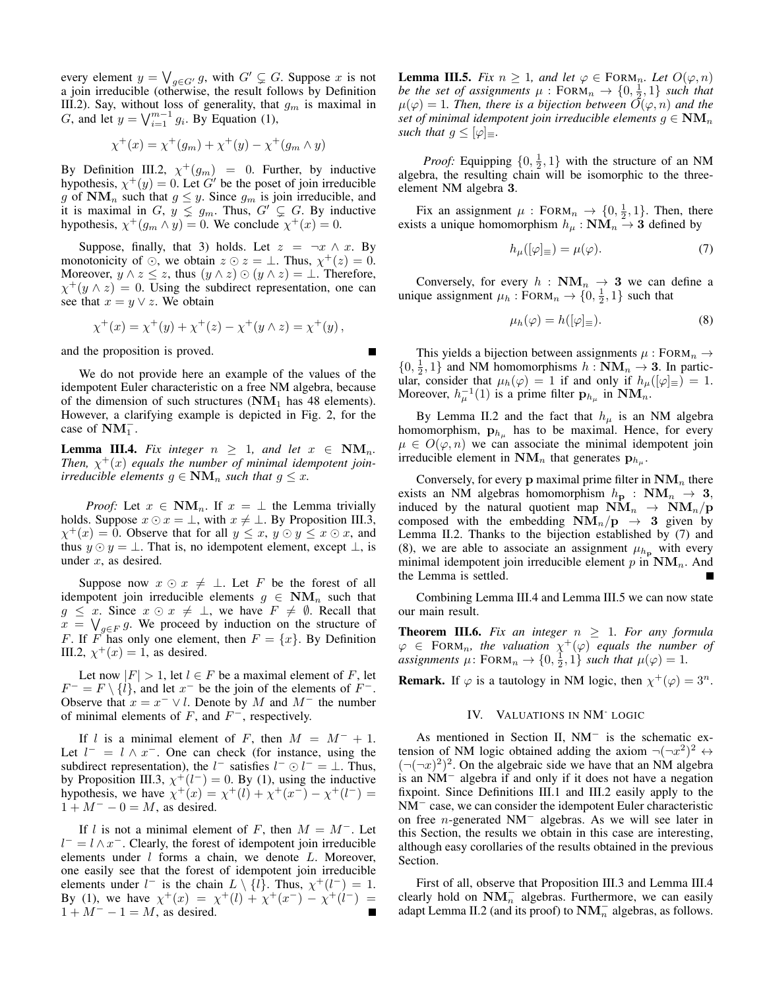every element  $y = \bigvee_{g \in G'} g$ , with  $G' \subsetneq G$ . Suppose x is not a join irreducible (otherwise, the result follows by Definition III.2). Say, without loss of generality, that  $g_m$  is maximal in G, and let  $y = \sqrt{\binom{m-1}{i-1}} g_i$ . By Equation (1),

$$
\chi^{+}(x) = \chi^{+}(g_{m}) + \chi^{+}(y) - \chi^{+}(g_{m} \wedge y)
$$

By Definition III.2,  $\chi^+(g_m) = 0$ . Further, by inductive hypothesis,  $\chi^+(y) = 0$ . Let G' be the poset of join irreducible g of  $NM_n$  such that  $g \leq y$ . Since  $g_m$  is join irreducible, and it is maximal in  $G, y \leq g_m$ . Thus,  $G' \subsetneq G$ . By inductive hypothesis,  $\chi^+(g_m \wedge y) = 0$ . We conclude  $\chi^+(x) = 0$ .

Suppose, finally, that 3) holds. Let  $z = \neg x \land x$ . By monotonicity of  $\odot$ , we obtain  $z \odot z = \perp$ . Thus,  $\chi^+(z) = 0$ . Moreover,  $y \wedge z \leq z$ , thus  $(y \wedge z) \odot (y \wedge z) = \bot$ . Therefore,  $\chi^+(y \wedge z) = 0$ . Using the subdirect representation, one can see that  $x = y \lor z$ . We obtain

$$
\chi^+(x) = \chi^+(y) + \chi^+(z) - \chi^+(y \wedge z) = \chi^+(y) ,
$$

and the proposition is proved.

We do not provide here an example of the values of the idempotent Euler characteristic on a free NM algebra, because of the dimension of such structures  $(NM_1)$  has 48 elements). However, a clarifying example is depicted in Fig. 2, for the case of  $\text{NM}_1^-$ .

**Lemma III.4.** *Fix integer*  $n \geq 1$ *, and let*  $x \in \text{NM}_n$ *.* Then,  $\chi^+(x)$  equals the number of minimal idempotent join*irreducible elements*  $g \in \mathbf{NM}_n$  *such that*  $g \leq x$ *.* 

*Proof:* Let  $x \in \textbf{NM}_n$ . If  $x = \perp$  the Lemma trivially holds. Suppose  $x \odot x = \perp$ , with  $x \neq \perp$ . By Proposition III.3,  $\chi^+(x) = 0$ . Observe that for all  $y \leq x$ ,  $y \odot y \leq x \odot x$ , and thus  $y \odot y = \perp$ . That is, no idempotent element, except  $\perp$ , is under  $x$ , as desired.

Suppose now  $x \odot x \neq \bot$ . Let F be the forest of all idempotent join irreducible elements  $g \in \textbf{NM}_n$  such that  $g \leq x$ . Since  $x \odot x \neq \perp$ , we have  $F \neq \emptyset$ . Recall that  $x = \bigvee_{g \in F} g$ . We proceed by induction on the structure of F. If F has only one element, then  $F = \{x\}$ . By Definition III.2,  $\chi^+(x) = 1$ , as desired.

Let now  $|F| > 1$ , let  $l \in F$  be a maximal element of F, let  $F^- = F \setminus \{l\}$ , and let  $x^-$  be the join of the elements of  $F^-$ . Observe that  $x = x^- \vee l$ . Denote by M and  $M^-$  the number of minimal elements of  $F$ , and  $F^-$ , respectively.

If l is a minimal element of F, then  $M = M^- + 1$ . Let  $l^- = l \wedge x^-$ . One can check (for instance, using the subdirect representation), the  $l^-$  satisfies  $l^- \odot l^- = \bot$ . Thus, by Proposition III.3,  $\chi^+(l^-) = 0$ . By (1), using the inductive hypothesis, we have  $\chi^+(x) = \chi^+(l) + \chi^+(x^-) - \chi^+(l^-) =$  $1 + M^{-} - 0 = M$ , as desired.

If l is not a minimal element of F, then  $M = M^{-}$ . Let  $l^- = l \wedge x^-$ . Clearly, the forest of idempotent join irreducible elements under  $l$  forms a chain, we denote  $L$ . Moreover, one easily see that the forest of idempotent join irreducible elements under  $l^-$  is the chain  $L \setminus \{l\}$ . Thus,  $\chi^+(l^-) = 1$ . By (1), we have  $\chi^+(x) = \chi^+(l) + \chi^+(x^-) - \chi^+(l^-) =$  $1 + M^{-} - 1 = M$ , as desired.

**Lemma III.5.** *Fix*  $n \geq 1$ *, and let*  $\varphi \in \text{FORM}_n$ *. Let*  $O(\varphi, n)$ *be the set of assignments*  $\mu$  : FORM<sub>n</sub>  $\rightarrow$   $\{0, \frac{1}{2}, 1\}$  *such that*  $\mu(\varphi) = 1$ . Then, there is a bijection between  $\overline{O}(\varphi, n)$  and the *set of minimal idempotent join irreducible elements*  $g \in \mathbf{NM}_n$ *such that*  $g \leq [\varphi]_{\equiv}$ *.* 

*Proof:* Equipping  $\{0, \frac{1}{2}, 1\}$  with the structure of an NM algebra, the resulting chain will be isomorphic to the threeelement NM algebra 3.

Fix an assignment  $\mu$ : FORM<sub>n</sub>  $\rightarrow$  {0,  $\frac{1}{2}$ , 1}. Then, there exists a unique homomorphism  $h_{\mu} : \mathbf{NM}_n \to 3$  defined by

$$
h_{\mu}([\varphi]_{\equiv}) = \mu(\varphi). \tag{7}
$$

Conversely, for every  $h : \textbf{NM}_n \to 3$  we can define a unique assignment  $\mu_h : \text{FoRM}_n \to \{0, \frac{1}{2}, 1\}$  such that

$$
\mu_h(\varphi) = h([\varphi]_\equiv). \tag{8}
$$

This yields a bijection between assignments  $\mu$ : FORM<sub>n</sub>  $\rightarrow$  $\{0, \frac{1}{2}, 1\}$  and NM homomorphisms  $h : \mathbf{NM}_n \to \mathbf{3}$ . In particular, consider that  $\mu_h(\varphi) = 1$  if and only if  $h_\mu([\varphi]_\equiv) = 1$ . Moreover,  $h_{\mu}^{-1}(1)$  is a prime filter  $\mathbf{p}_{h_{\mu}}$  in  $\mathbf{NM}_{n}$ .

By Lemma II.2 and the fact that  $h_{\mu}$  is an NM algebra homomorphism,  $\mathbf{p}_{h_{\mu}}$  has to be maximal. Hence, for every  $\mu \in O(\varphi, n)$  we can associate the minimal idempotent join irreducible element in  $\mathbf{NM}_n$  that generates  $\mathbf{p}_{h_\mu}$ .

Conversely, for every  $p$  maximal prime filter in  $NM_n$  there exists an NM algebras homomorphism  $h_{\mathbf{p}} : \mathbf{NM}_n \to \mathbf{3}$ , induced by the natural quotient map  $\text{NM}_n \rightarrow \text{NM}_n/\text{p}$ composed with the embedding  $NM_n/p \rightarrow 3$  given by Lemma II.2. Thanks to the bijection established by (7) and (8), we are able to associate an assignment  $\mu_{h_p}$  with every minimal idempotent join irreducible element  $p$  in  $\mathbf{NM}_n$ . And the Lemma is settled.

Combining Lemma III.4 and Lemma III.5 we can now state our main result.

**Theorem III.6.** Fix an integer  $n \geq 1$ . For any formula  $\varphi \in \text{FORM}_n$ , the valuation  $\chi^+(\varphi)$  equals the number of *assignments*  $\mu$ : FORM<sub>n</sub>  $\rightarrow$  {0,  $\frac{1}{2}$ , 1} *such that*  $\mu(\varphi) = 1$ *.* 

**Remark.** If  $\varphi$  is a tautology in NM logic, then  $\chi^+(\varphi) = 3^n$ .

# IV. VALUATIONS IN NM- LOGIC

As mentioned in Section II, NM<sup>−</sup> is the schematic extension of NM logic obtained adding the axiom  $\neg(\neg x^2)^2 \leftrightarrow$  $(\neg(\neg x)^2)^2$ . On the algebraic side we have that an NM algebra is an NM<sup>−</sup> algebra if and only if it does not have a negation fixpoint. Since Definitions III.1 and III.2 easily apply to the NM<sup>−</sup> case, we can consider the idempotent Euler characteristic on free n-generated NM<sup>−</sup> algebras. As we will see later in this Section, the results we obtain in this case are interesting, although easy corollaries of the results obtained in the previous Section.

First of all, observe that Proposition III.3 and Lemma III.4 clearly hold on  $\text{NM}_n^-$  algebras. Furthermore, we can easily adapt Lemma II.2 (and its proof) to  $NM_n^-$  algebras, as follows.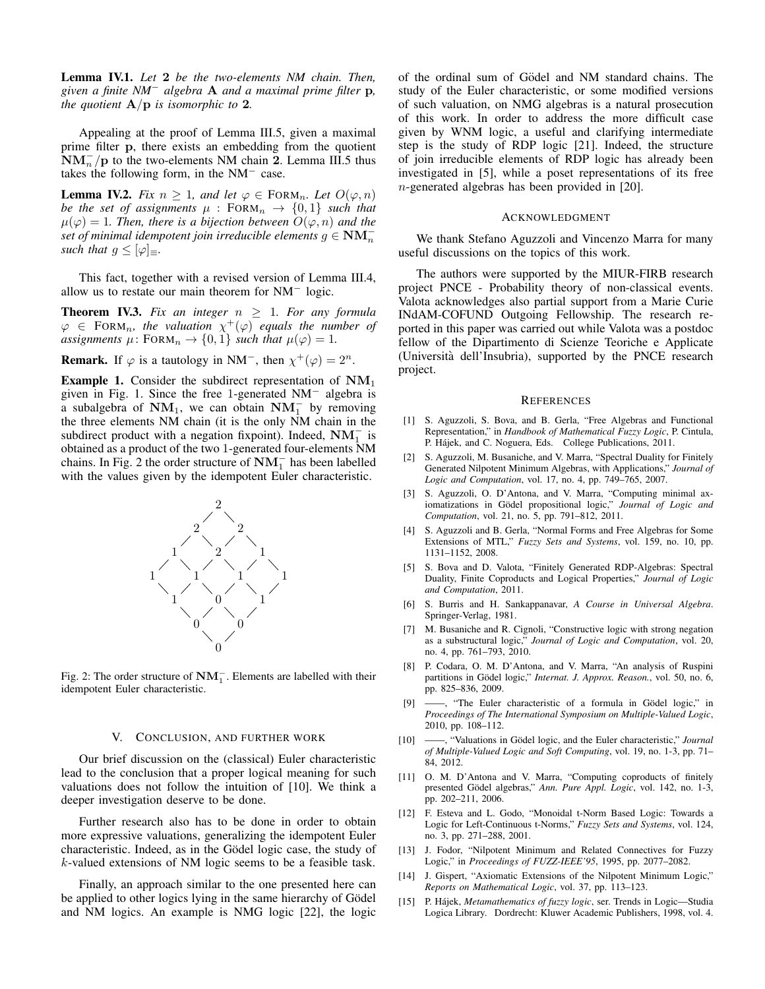Lemma IV.1. *Let* 2 *be the two-elements NM chain. Then, given a finite NM*<sup>−</sup> *algebra* A *and a maximal prime filter* p*, the quotient* A/p *is isomorphic to* 2*.*

Appealing at the proof of Lemma III.5, given a maximal prime filter p, there exists an embedding from the quotient  $\text{NM}_n^-$  /p to the two-elements NM chain 2. Lemma III.5 thus takes the following form, in the  $NM<sup>-</sup>$  case.

**Lemma IV.2.** *Fix*  $n \geq 1$ *, and let*  $\varphi \in \text{FORM}_n$ *. Let*  $O(\varphi, n)$ *be the set of assignments*  $\mu$  : FORM<sub>n</sub>  $\rightarrow$  {0, 1} *such that*  $\mu(\varphi) = 1$ *. Then, there is a bijection between*  $O(\varphi, n)$  *and the*  $\widetilde{f}$  *set of minimal idempotent join irreducible elements*  $g \in \textbf{NM}_n^$ *such that*  $g \leq |\varphi|_{\equiv}$ *.* 

This fact, together with a revised version of Lemma III.4, allow us to restate our main theorem for NM<sup>−</sup> logic.

**Theorem IV.3.** Fix an integer  $n \geq 1$ . For any formula  $\varphi \in \text{FORM}_n$ , the valuation  $\chi^+(\varphi)$  equals the number of *assignments*  $\mu$ : FORM<sub>n</sub>  $\rightarrow$  {0, 1} *such that*  $\mu(\varphi) = 1$ *.* 

**Remark.** If  $\varphi$  is a tautology in NM<sup>-</sup>, then  $\chi^+(\varphi) = 2^n$ .

**Example 1.** Consider the subdirect representation of  $NM_1$ given in Fig. 1. Since the free 1-generated NM<sup>−</sup> algebra is a subalgebra of  $\text{NM}_1$ , we can obtain  $\text{NM}_1^-$  by removing the three elements NM chain (it is the only NM chain in the subdirect product with a negation fixpoint). Indeed,  $\text{NM}_1^-$  is obtained as a product of the two 1-generated four-elements NM chains. In Fig. 2 the order structure of  $NM_1^-$  has been labelled with the values given by the idempotent Euler characteristic.



Fig. 2: The order structure of  $\textbf{NM}_1^-$ . Elements are labelled with their idempotent Euler characteristic.

## V. CONCLUSION, AND FURTHER WORK

Our brief discussion on the (classical) Euler characteristic lead to the conclusion that a proper logical meaning for such valuations does not follow the intuition of [10]. We think a deeper investigation deserve to be done.

Further research also has to be done in order to obtain more expressive valuations, generalizing the idempotent Euler characteristic. Indeed, as in the Gödel logic case, the study of k-valued extensions of NM logic seems to be a feasible task.

Finally, an approach similar to the one presented here can be applied to other logics lying in the same hierarchy of Gödel and NM logics. An example is NMG logic [22], the logic

of the ordinal sum of Gödel and NM standard chains. The study of the Euler characteristic, or some modified versions of such valuation, on NMG algebras is a natural prosecution of this work. In order to address the more difficult case given by WNM logic, a useful and clarifying intermediate step is the study of RDP logic [21]. Indeed, the structure of join irreducible elements of RDP logic has already been investigated in [5], while a poset representations of its free n-generated algebras has been provided in [20].

### ACKNOWLEDGMENT

We thank Stefano Aguzzoli and Vincenzo Marra for many useful discussions on the topics of this work.

The authors were supported by the MIUR-FIRB research project PNCE - Probability theory of non-classical events. Valota acknowledges also partial support from a Marie Curie INdAM-COFUND Outgoing Fellowship. The research reported in this paper was carried out while Valota was a postdoc fellow of the Dipartimento di Scienze Teoriche e Applicate (Universita dell'Insubria), supported by the PNCE research ` project.

#### **REFERENCES**

- [1] S. Aguzzoli, S. Bova, and B. Gerla, "Free Algebras and Functional Representation," in *Handbook of Mathematical Fuzzy Logic*, P. Cintula, P. Hájek, and C. Noguera, Eds. College Publications, 2011.
- [2] S. Aguzzoli, M. Busaniche, and V. Marra, "Spectral Duality for Finitely Generated Nilpotent Minimum Algebras, with Applications," *Journal of Logic and Computation*, vol. 17, no. 4, pp. 749–765, 2007.
- [3] S. Aguzzoli, O. D'Antona, and V. Marra, "Computing minimal axiomatizations in Gödel propositional logic," Journal of Logic and *Computation*, vol. 21, no. 5, pp. 791–812, 2011.
- S. Aguzzoli and B. Gerla, "Normal Forms and Free Algebras for Some Extensions of MTL," *Fuzzy Sets and Systems*, vol. 159, no. 10, pp. 1131–1152, 2008.
- [5] S. Bova and D. Valota, "Finitely Generated RDP-Algebras: Spectral Duality, Finite Coproducts and Logical Properties," *Journal of Logic and Computation*, 2011.
- [6] S. Burris and H. Sankappanavar, *A Course in Universal Algebra*. Springer-Verlag, 1981.
- [7] M. Busaniche and R. Cignoli, "Constructive logic with strong negation as a substructural logic," *Journal of Logic and Computation*, vol. 20, no. 4, pp. 761–793, 2010.
- [8] P. Codara, O. M. D'Antona, and V. Marra, "An analysis of Ruspini partitions in Gödel logic," *Internat. J. Approx. Reason.*, vol. 50, no. 6, pp. 825–836, 2009.
- [9] ——, "The Euler characteristic of a formula in Gödel logic," in *Proceedings of The International Symposium on Multiple-Valued Logic*, 2010, pp. 108–112.
- [10] ——, "Valuations in Gödel logic, and the Euler characteristic," *Journal of Multiple-Valued Logic and Soft Computing*, vol. 19, no. 1-3, pp. 71– 84, 2012.
- [11] O. M. D'Antona and V. Marra, "Computing coproducts of finitely presented Gödel algebras," Ann. Pure Appl. Logic, vol. 142, no. 1-3, pp. 202–211, 2006.
- [12] F. Esteva and L. Godo, "Monoidal t-Norm Based Logic: Towards a Logic for Left-Continuous t-Norms," *Fuzzy Sets and Systems*, vol. 124, no. 3, pp. 271–288, 2001.
- [13] J. Fodor, "Nilpotent Minimum and Related Connectives for Fuzzy Logic," in *Proceedings of FUZZ-IEEE'95*, 1995, pp. 2077–2082.
- [14] J. Gispert, "Axiomatic Extensions of the Nilpotent Minimum Logic," *Reports on Mathematical Logic*, vol. 37, pp. 113–123.
- [15] P. Hájek, Metamathematics of fuzzy logic, ser. Trends in Logic-Studia Logica Library. Dordrecht: Kluwer Academic Publishers, 1998, vol. 4.